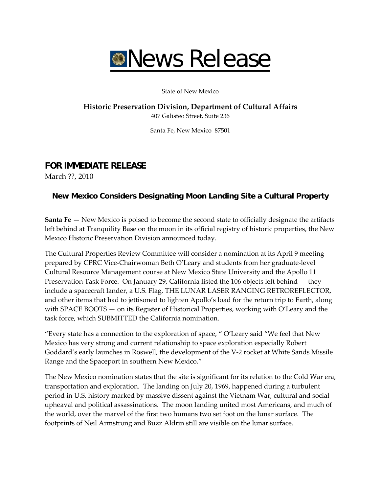

State of New Mexico

# **Historic Preservation Division, Department of Cultural Affairs**

407 Galisteo Street, Suite 236

Santa Fe, New Mexico 87501

## **FOR IMMEDIATE RELEASE**

March ??, 2010

### **New Mexico Considers Designating Moon Landing Site a Cultural Property**

**Santa Fe —** New Mexico is poised to become the second state to officially designate the artifacts left behind at Tranquility Base on the moon in its official registry of historic properties, the New Mexico Historic Preservation Division announced today.

The Cultural Properties Review Committee will consider a nomination at its April 9 meeting prepared by CPRC Vice‐Chairwoman Beth O'Leary and students from her graduate‐level Cultural Resource Management course at New Mexico State University and the Apollo 11 Preservation Task Force. On January 29, California listed the 106 objects left behind — they include a spacecraft lander, a U.S. Flag, THE LUNAR LASER RANGING RETROREFLECTOR, and other items that had to jettisoned to lighten Apollo's load for the return trip to Earth, along with SPACE BOOTS — on its Register of Historical Properties, working with O'Leary and the task force, which SUBMITTED the California nomination.

"Every state has a connection to the exploration of space, " O'Leary said "We feel that New Mexico has very strong and current relationship to space exploration especially Robert Goddard's early launches in Roswell, the development of the V‐2 rocket at White Sands Missile Range and the Spaceport in southern New Mexico."

The New Mexico nomination states that the site is significant for its relation to the Cold War era, transportation and exploration. The landing on July 20, 1969, happened during a turbulent period in U.S. history marked by massive dissent against the Vietnam War, cultural and social upheaval and political assassinations. The moon landing united most Americans, and much of the world, over the marvel of the first two humans two set foot on the lunar surface. The footprints of Neil Armstrong and Buzz Aldrin still are visible on the lunar surface.